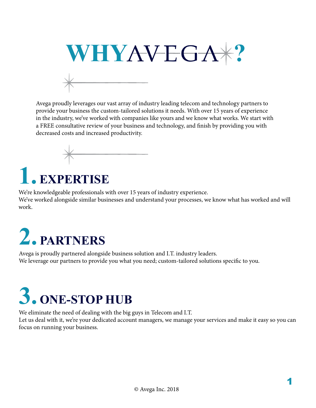

Avega proudly leverages our vast array of industry leading telecom and technology partners to provide your business the custom-tailored solutions it needs. With over 15 years of experience in the industry, we've worked with companies like yours and we know what works. We start with a FREE consultative review of your business and technology, and finish by providing you with decreased costs and increased productivity.



## **1. EXPERTISE**

We're knowledgeable professionals with over 15 years of industry experience. We've worked alongside similar businesses and understand your processes, we know what has worked and will work.

## **2. PARTNERS**

Avega is proudly partnered alongside business solution and I.T. industry leaders. We leverage our partners to provide you what you need; custom-tailored solutions specific to you.

## **3. ONE-STOP HUB**

We eliminate the need of dealing with the big guys in Telecom and I.T.

Let us deal with it, we're your dedicated account managers, we manage your services and make it easy so you can focus on running your business.

1